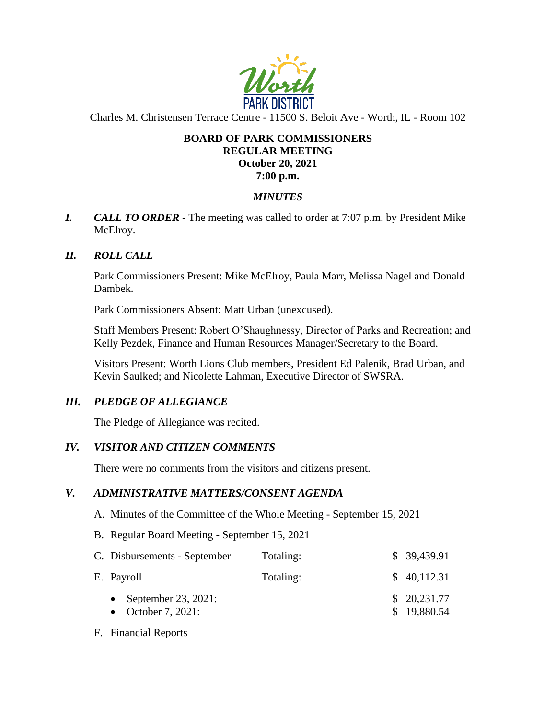

Charles M. Christensen Terrace Centre - 11500 S. Beloit Ave - Worth, IL - Room 102

#### **BOARD OF PARK COMMISSIONERS REGULAR MEETING October 20, 2021 7:00 p.m.**

### *MINUTES*

*I. CALL TO ORDER* - The meeting was called to order at 7:07 p.m. by President Mike McElroy.

### *II. ROLL CALL*

Park Commissioners Present: Mike McElroy, Paula Marr, Melissa Nagel and Donald Dambek.

Park Commissioners Absent: Matt Urban (unexcused).

Staff Members Present: Robert O'Shaughnessy, Director of Parks and Recreation; and Kelly Pezdek, Finance and Human Resources Manager/Secretary to the Board.

Visitors Present: Worth Lions Club members, President Ed Palenik, Brad Urban, and Kevin Saulked; and Nicolette Lahman, Executive Director of SWSRA.

#### *III. PLEDGE OF ALLEGIANCE*

The Pledge of Allegiance was recited.

#### *IV. VISITOR AND CITIZEN COMMENTS*

There were no comments from the visitors and citizens present.

#### *V. ADMINISTRATIVE MATTERS/CONSENT AGENDA*

- A. Minutes of the Committee of the Whole Meeting September 15, 2021
- B. Regular Board Meeting September 15, 2021

| C. Disbursements - September                | Totaling: | \$39,439.91                |
|---------------------------------------------|-----------|----------------------------|
| E. Payroll                                  | Totaling: | \$40,112.31                |
| • September 23, 2021:<br>• October 7, 2021: |           | \$20,231.77<br>\$19,880.54 |

F. Financial Reports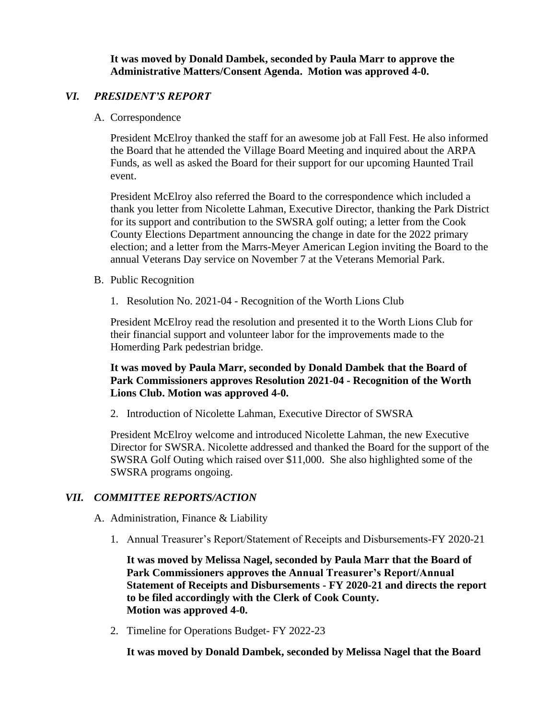**It was moved by Donald Dambek, seconded by Paula Marr to approve the Administrative Matters/Consent Agenda. Motion was approved 4-0.** 

#### *VI. PRESIDENT'S REPORT*

A. Correspondence

President McElroy thanked the staff for an awesome job at Fall Fest. He also informed the Board that he attended the Village Board Meeting and inquired about the ARPA Funds, as well as asked the Board for their support for our upcoming Haunted Trail event.

President McElroy also referred the Board to the correspondence which included a thank you letter from Nicolette Lahman, Executive Director, thanking the Park District for its support and contribution to the SWSRA golf outing; a letter from the Cook County Elections Department announcing the change in date for the 2022 primary election; and a letter from the Marrs-Meyer American Legion inviting the Board to the annual Veterans Day service on November 7 at the Veterans Memorial Park.

- B. Public Recognition
	- 1. Resolution No. 2021-04 Recognition of the Worth Lions Club

President McElroy read the resolution and presented it to the Worth Lions Club for their financial support and volunteer labor for the improvements made to the Homerding Park pedestrian bridge.

**It was moved by Paula Marr, seconded by Donald Dambek that the Board of Park Commissioners approves Resolution 2021-04 - Recognition of the Worth Lions Club. Motion was approved 4-0.** 

2. Introduction of Nicolette Lahman, Executive Director of SWSRA

President McElroy welcome and introduced Nicolette Lahman, the new Executive Director for SWSRA. Nicolette addressed and thanked the Board for the support of the SWSRA Golf Outing which raised over \$11,000. She also highlighted some of the SWSRA programs ongoing.

#### *VII. COMMITTEE REPORTS/ACTION*

- A. Administration, Finance & Liability
	- 1. Annual Treasurer's Report/Statement of Receipts and Disbursements-FY 2020-21

**It was moved by Melissa Nagel, seconded by Paula Marr that the Board of Park Commissioners approves the Annual Treasurer's Report/Annual Statement of Receipts and Disbursements - FY 2020-21 and directs the report to be filed accordingly with the Clerk of Cook County. Motion was approved 4-0.** 

2. Timeline for Operations Budget- FY 2022-23

**It was moved by Donald Dambek, seconded by Melissa Nagel that the Board**